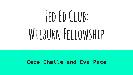# **Ted Ed Club:**  WILBURN FELLOWSHIP

#### **Cece Challe and Eva Pace**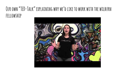#### **Our own "TED-Talk" explaining why we'd like to work with the wilburn fellowship**

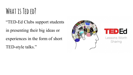## **What is Ted ed?**

"TED-Ed Clubs support students in presenting their big ideas or experiences in the form of short TED-style talks."





Lessons Worth Sharing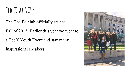### **Ted ED at NCHS**

The Ted Ed club officially started

Fall of 2015. Earlier this year we went to

a TedX Youth Event and saw many

inspirational speakers.

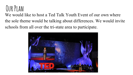## **Our Plan**

We would like to host a Ted Talk Youth Event of our own where the sole theme would be talking about differences. We would invite schools from all over the tri-state area to participate.

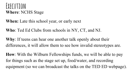#### **Execution Where**: NCHS Stage

**When:** Late this school year, or early next

**Who**: Ted Ed Clubs from schools in NY, CT, and NJ.

**Why**: If teens can hear one another talk openly about their differences, it will allow them to see how invalid stereotypes are.

**How**: With the Wilburn Fellowships funds, we will be able to pay for things such as the stage set up, food/water, and recording equipment (so we can broadcast the talks on the TED ED webpage).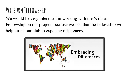## **Wilburn Fellowship**

We would be very interested in working with the Wilburn Fellowship on our project, because we feel that the fellowship will help direct our club to exposing differences.